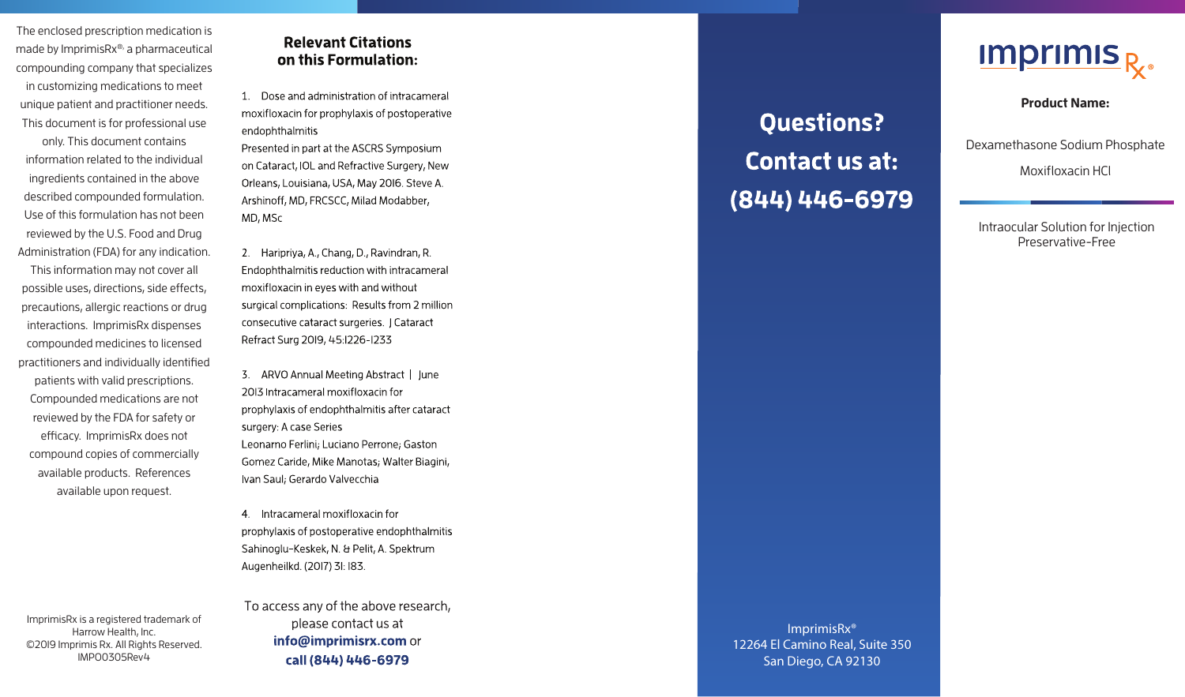The enclosed prescription medication is made by ImprimisRx®, a pharmaceutical compounding company that specializes in customizing medications to meet unique patient and practitioner needs. This document is for professional use

only. This document contains information related to the individual ingredients contained in the above described compounded formulation. Use of this formulation has not been reviewed by the U.S. Food and Drug Administration (FDA) for any indication.

This information may not cover all possible uses, directions, side effects, precautions, allergic reactions or drug interactions. ImprimisRx dispenses compounded medicines to licensed practitioners and individually identified patients with valid prescriptions. Compounded medications are not reviewed by the FDA for safety or efficacy. ImprimisRx does not compound copies of commercially available products. References available upon request.

## **Relevant Citations** on this Formulation:

1. Dose and administration of intracameral moxifloxacin for prophylaxis of postoperative endophthalmitis

Presented in part at the ASCRS Symposium on Cataract, IOL and Refractive Surgery, New Orleans, Louisiana, USA, May 2016. Steve A. Arshinoff, MD, FRCSCC, Milad Modabber, MD, MSc

2. Haripriva, A., Chang, D., Ravindran, R. Endophthalmitis reduction with intracameral moxifloxacin in eves with and without surgical complications: Results from 2 million consecutive cataract surgeries. | Cataract Refract Surg 2019, 45:1226-1233

3. ARVO Annual Meeting Abstract | June 2013 Intracameral moxifloxacin for prophylaxis of endophthalmitis after cataract surgery: A case Series Leonarno Ferlini; Luciano Perrone; Gaston Gomez Caride, Mike Manotas; Walter Biagini, Ivan Saul; Gerardo Valvecchia

4. Intracameral moxifloxacin for prophylaxis of postoperative endophthalmitis Sahinoglu-Keskek, N. & Pelit, A. Spektrum Augenheilkd. (2017) 31: 183.

ImprimisRx is a registered trademark of Harrow Health, Inc. ©2019 Imprimis Rx. All Rights Reserved. IMPO0305Rev4

To access any of the above research, please contact us at info@imprimisrx.com or call (844) 446-6979

**Questions?** Contact us at: (844) 446-6979



**Product Name:** 

Dexamethasone Sodium Phosphate

Moxifloxacin HCl

Intraocular Solution for Injection Preservative-Free

ImprimisRx® 12264 El Camino Real, Suite 350 San Diego, CA 92130